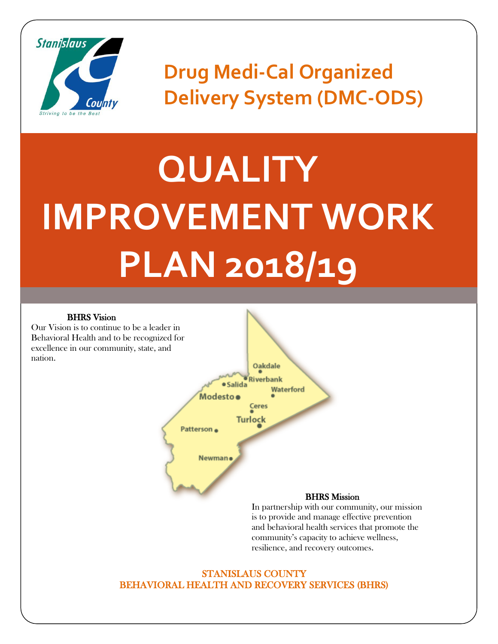

**Drug Medi-Cal Organized Delivery System (DMC-ODS)**

# **QUALITY IMPROVEMENT WORK PLAN 2018/19**

#### BHRS Vision

Our Vision is to continue to be a leader in Behavioral Health and to be recognized for excellence in our community, state, and nation.



In partnership with our community, our mission is to provide and manage effective prevention and behavioral health services that promote the community's capacity to achieve wellness, resilience, and recovery outcomes.

#### STANISLAUS COUNTY BEHAVIORAL HEALTH AND RECOVERY SERVICES (BHRS)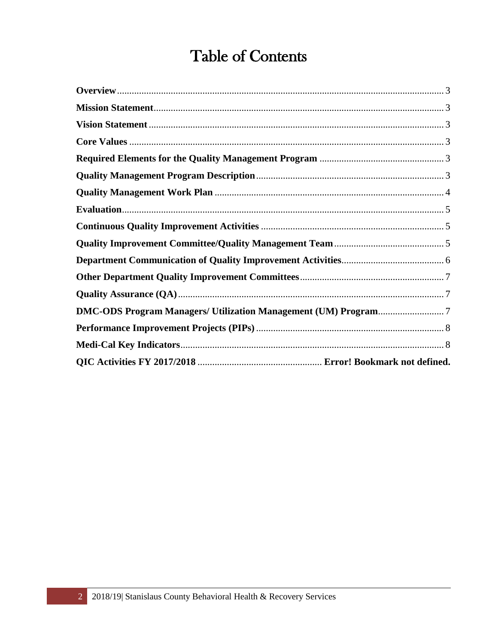### **Table of Contents**

<span id="page-1-0"></span>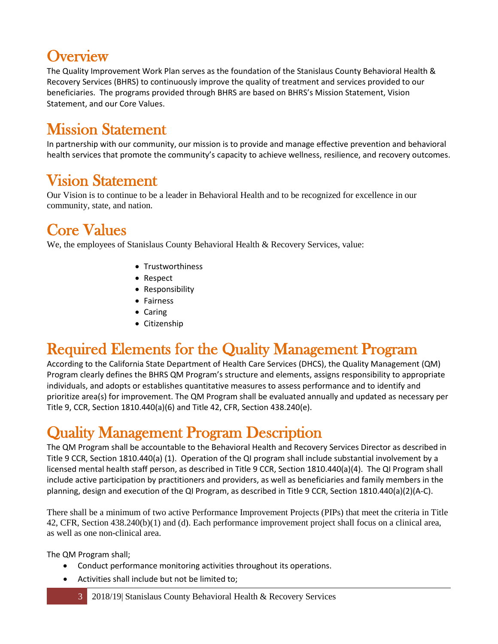## **Overview**

The Quality Improvement Work Plan serves as the foundation of the Stanislaus County Behavioral Health & Recovery Services (BHRS) to continuously improve the quality of treatment and services provided to our beneficiaries. The programs provided through BHRS are based on BHRS's Mission Statement, Vision Statement, and our Core Values.

#### <span id="page-2-0"></span>Mission Statement

In partnership with our community, our mission is to provide and manage effective prevention and behavioral health services that promote the community's capacity to achieve wellness, resilience, and recovery outcomes.

#### <span id="page-2-1"></span>Vision Statement

Our Vision is to continue to be a leader in Behavioral Health and to be recognized for excellence in our community, state, and nation.

#### <span id="page-2-2"></span>Core Values

We, the employees of Stanislaus County Behavioral Health & Recovery Services, value:

- Trustworthiness
- Respect
- Responsibility
- Fairness
- Caring
- Citizenship

#### <span id="page-2-3"></span>Required Elements for the Quality Management Program

According to the California State Department of Health Care Services (DHCS), the Quality Management (QM) Program clearly defines the BHRS QM Program's structure and elements, assigns responsibility to appropriate individuals, and adopts or establishes quantitative measures to assess performance and to identify and prioritize area(s) for improvement. The QM Program shall be evaluated annually and updated as necessary per Title 9, CCR, Section 1810.440(a)(6) and Title 42, CFR, Section 438.240(e).

#### <span id="page-2-4"></span>Quality Management Program Description

The QM Program shall be accountable to the Behavioral Health and Recovery Services Director as described in Title 9 CCR, Section 1810.440(a) (1). Operation of the QI program shall include substantial involvement by a licensed mental health staff person, as described in Title 9 CCR, Section 1810.440(a)(4). The QI Program shall include active participation by practitioners and providers, as well as beneficiaries and family members in the planning, design and execution of the QI Program, as described in Title 9 CCR, Section 1810.440(a)(2)(A-C).

There shall be a minimum of two active Performance Improvement Projects (PIPs) that meet the criteria in Title 42, CFR, Section 438.240(b)(1) and (d). Each performance improvement project shall focus on a clinical area, as well as one non-clinical area.

The QM Program shall;

- Conduct performance monitoring activities throughout its operations.
- Activities shall include but not be limited to;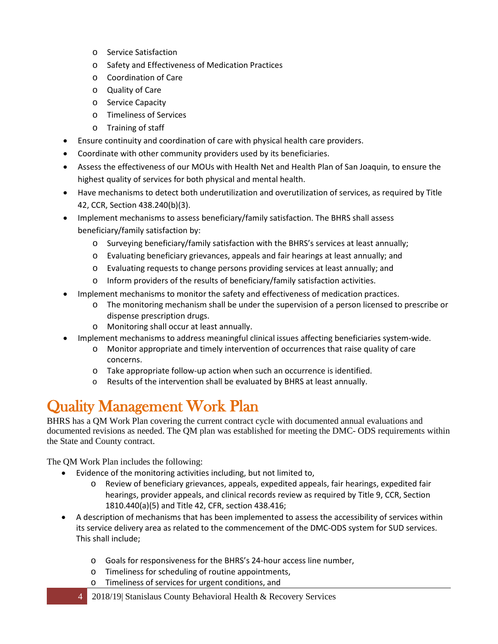- o Service Satisfaction
- o Safety and Effectiveness of Medication Practices
- o Coordination of Care
- o Quality of Care
- o Service Capacity
- o Timeliness of Services
- o Training of staff
- Ensure continuity and coordination of care with physical health care providers.
- Coordinate with other community providers used by its beneficiaries.
- Assess the effectiveness of our MOUs with Health Net and Health Plan of San Joaquin, to ensure the highest quality of services for both physical and mental health.
- Have mechanisms to detect both underutilization and overutilization of services, as required by Title 42, CCR, Section 438.240(b)(3).
- Implement mechanisms to assess beneficiary/family satisfaction. The BHRS shall assess beneficiary/family satisfaction by:
	- o Surveying beneficiary/family satisfaction with the BHRS's services at least annually;
	- o Evaluating beneficiary grievances, appeals and fair hearings at least annually; and
	- o Evaluating requests to change persons providing services at least annually; and
	- o Inform providers of the results of beneficiary/family satisfaction activities.
- Implement mechanisms to monitor the safety and effectiveness of medication practices.
	- o The monitoring mechanism shall be under the supervision of a person licensed to prescribe or dispense prescription drugs.
	- o Monitoring shall occur at least annually.
- Implement mechanisms to address meaningful clinical issues affecting beneficiaries system-wide.
	- o Monitor appropriate and timely intervention of occurrences that raise quality of care concerns.
	- o Take appropriate follow-up action when such an occurrence is identified.
	- o Results of the intervention shall be evaluated by BHRS at least annually.

#### <span id="page-3-0"></span>Quality Management Work Plan

BHRS has a QM Work Plan covering the current contract cycle with documented annual evaluations and documented revisions as needed. The QM plan was established for meeting the DMC- ODS requirements within the State and County contract.

The QM Work Plan includes the following:

- Evidence of the monitoring activities including, but not limited to,
	- o Review of beneficiary grievances, appeals, expedited appeals, fair hearings, expedited fair hearings, provider appeals, and clinical records review as required by Title 9, CCR, Section 1810.440(a)(5) and Title 42, CFR, section 438.416;
- A description of mechanisms that has been implemented to assess the accessibility of services within its service delivery area as related to the commencement of the DMC-ODS system for SUD services. This shall include;
	- o Goals for responsiveness for the BHRS's 24-hour access line number,
	- o Timeliness for scheduling of routine appointments,
	- o Timeliness of services for urgent conditions, and
	- 4 2018/19| Stanislaus County Behavioral Health & Recovery Services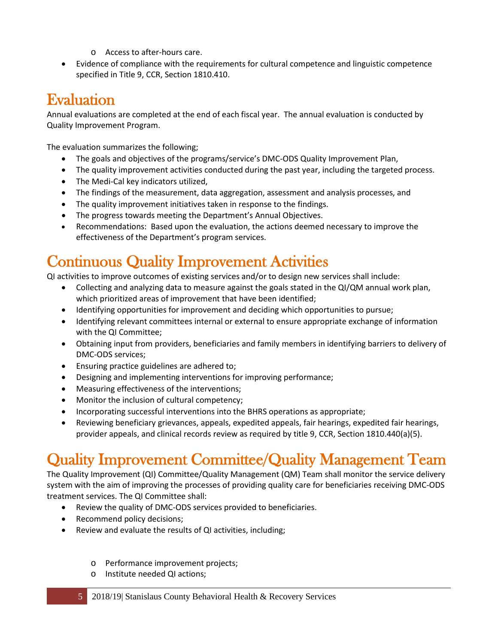- o Access to after-hours care.
- Evidence of compliance with the requirements for cultural competence and linguistic competence specified in Title 9, CCR, Section 1810.410.

#### <span id="page-4-0"></span>Evaluation

Annual evaluations are completed at the end of each fiscal year. The annual evaluation is conducted by Quality Improvement Program.

The evaluation summarizes the following;

- The goals and objectives of the programs/service's DMC-ODS Quality Improvement Plan,
- The quality improvement activities conducted during the past year, including the targeted process.
- The Medi-Cal key indicators utilized,
- The findings of the measurement, data aggregation, assessment and analysis processes, and
- The quality improvement initiatives taken in response to the findings.
- The progress towards meeting the Department's Annual Objectives.
- Recommendations: Based upon the evaluation, the actions deemed necessary to improve the effectiveness of the Department's program services.

## <span id="page-4-1"></span>Continuous Quality Improvement Activities

QI activities to improve outcomes of existing services and/or to design new services shall include:

- Collecting and analyzing data to measure against the goals stated in the QI/QM annual work plan, which prioritized areas of improvement that have been identified;
- Identifying opportunities for improvement and deciding which opportunities to pursue;
- Identifying relevant committees internal or external to ensure appropriate exchange of information with the QI Committee;
- Obtaining input from providers, beneficiaries and family members in identifying barriers to delivery of DMC-ODS services;
- Ensuring practice guidelines are adhered to;
- Designing and implementing interventions for improving performance;
- Measuring effectiveness of the interventions;
- Monitor the inclusion of cultural competency;
- Incorporating successful interventions into the BHRS operations as appropriate;
- Reviewing beneficiary grievances, appeals, expedited appeals, fair hearings, expedited fair hearings, provider appeals, and clinical records review as required by title 9, CCR, Section 1810.440(a)(5).

## <span id="page-4-2"></span>Quality Improvement Committee/Quality Management Team

The Quality Improvement (QI) Committee/Quality Management (QM) Team shall monitor the service delivery system with the aim of improving the processes of providing quality care for beneficiaries receiving DMC-ODS treatment services. The QI Committee shall:

- Review the quality of DMC-ODS services provided to beneficiaries.
- Recommend policy decisions;
- Review and evaluate the results of QI activities, including;
	- o Performance improvement projects;
	- o Institute needed QI actions;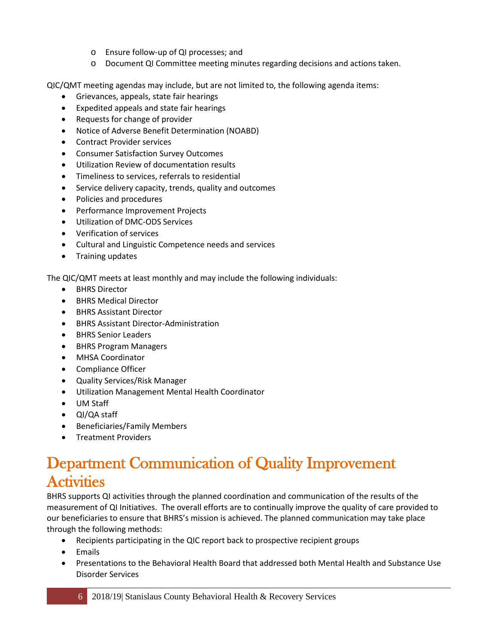- o Ensure follow-up of QI processes; and
- o Document QI Committee meeting minutes regarding decisions and actions taken.

QIC/QMT meeting agendas may include, but are not limited to, the following agenda items:

- Grievances, appeals, state fair hearings
- Expedited appeals and state fair hearings
- Requests for change of provider
- Notice of Adverse Benefit Determination (NOABD)
- Contract Provider services
- Consumer Satisfaction Survey Outcomes
- Utilization Review of documentation results
- Timeliness to services, referrals to residential
- Service delivery capacity, trends, quality and outcomes
- Policies and procedures
- Performance Improvement Projects
- Utilization of DMC-ODS Services
- Verification of services
- Cultural and Linguistic Competence needs and services
- Training updates

The QIC/QMT meets at least monthly and may include the following individuals:

- BHRS Director
- BHRS Medical Director
- BHRS Assistant Director
- BHRS Assistant Director-Administration
- BHRS Senior Leaders
- BHRS Program Managers
- MHSA Coordinator
- Compliance Officer
- Quality Services/Risk Manager
- Utilization Management Mental Health Coordinator
- UM Staff
- QI/QA staff
- Beneficiaries/Family Members
- Treatment Providers

#### <span id="page-5-0"></span>Department Communication of Quality Improvement **Activities**

BHRS supports QI activities through the planned coordination and communication of the results of the measurement of QI Initiatives. The overall efforts are to continually improve the quality of care provided to our beneficiaries to ensure that BHRS's mission is achieved. The planned communication may take place through the following methods:

- Recipients participating in the QIC report back to prospective recipient groups
- Emails
- Presentations to the Behavioral Health Board that addressed both Mental Health and Substance Use Disorder Services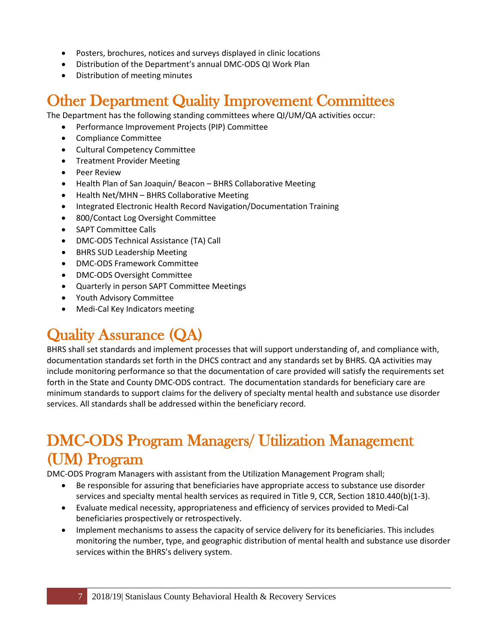- Posters, brochures, notices and surveys displayed in clinic locations
- Distribution of the Department's annual DMC-ODS QI Work Plan
- Distribution of meeting minutes

#### <span id="page-6-0"></span>Other Department Quality Improvement Committees

The Department has the following standing committees where QI/UM/QA activities occur:

- Performance Improvement Projects (PIP) Committee
- Compliance Committee
- Cultural Competency Committee
- Treatment Provider Meeting
- Peer Review
- Health Plan of San Joaquin/ Beacon BHRS Collaborative Meeting
- Health Net/MHN BHRS Collaborative Meeting
- Integrated Electronic Health Record Navigation/Documentation Training
- 800/Contact Log Oversight Committee
- SAPT Committee Calls
- DMC-ODS Technical Assistance (TA) Call
- BHRS SUD Leadership Meeting
- DMC-ODS Framework Committee
- DMC-ODS Oversight Committee
- Quarterly in person SAPT Committee Meetings
- Youth Advisory Committee
- Medi-Cal Key Indicators meeting

## <span id="page-6-1"></span>Quality Assurance (QA)

BHRS shall set standards and implement processes that will support understanding of, and compliance with, documentation standards set forth in the DHCS contract and any standards set by BHRS. QA activities may include monitoring performance so that the documentation of care provided will satisfy the requirements set forth in the State and County DMC-ODS contract. The documentation standards for beneficiary care are minimum standards to support claims for the delivery of specialty mental health and substance use disorder services. All standards shall be addressed within the beneficiary record.

## <span id="page-6-2"></span>DMC-ODS Program Managers/ Utilization Management (UM) Program

DMC-ODS Program Managers with assistant from the Utilization Management Program shall;

- Be responsible for assuring that beneficiaries have appropriate access to substance use disorder services and specialty mental health services as required in Title 9, CCR, Section 1810.440(b)(1-3).
- Evaluate medical necessity, appropriateness and efficiency of services provided to Medi-Cal beneficiaries prospectively or retrospectively.
- Implement mechanisms to assess the capacity of service delivery for its beneficiaries. This includes monitoring the number, type, and geographic distribution of mental health and substance use disorder services within the BHRS's delivery system.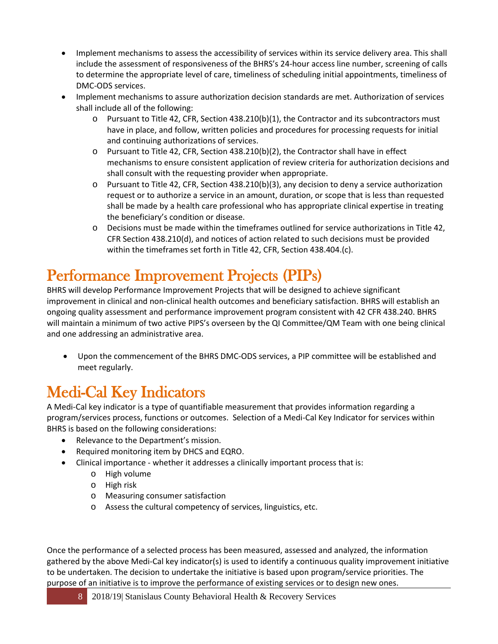- Implement mechanisms to assess the accessibility of services within its service delivery area. This shall include the assessment of responsiveness of the BHRS's 24-hour access line number, screening of calls to determine the appropriate level of care, timeliness of scheduling initial appointments, timeliness of DMC-ODS services.
- Implement mechanisms to assure authorization decision standards are met. Authorization of services shall include all of the following:
	- o Pursuant to Title 42, CFR, Section 438.210(b)(1), the Contractor and its subcontractors must have in place, and follow, written policies and procedures for processing requests for initial and continuing authorizations of services.
	- o Pursuant to Title 42, CFR, Section 438.210(b)(2), the Contractor shall have in effect mechanisms to ensure consistent application of review criteria for authorization decisions and shall consult with the requesting provider when appropriate.
	- $\circ$  Pursuant to Title 42, CFR, Section 438.210(b)(3), any decision to deny a service authorization request or to authorize a service in an amount, duration, or scope that is less than requested shall be made by a health care professional who has appropriate clinical expertise in treating the beneficiary's condition or disease.
	- o Decisions must be made within the timeframes outlined for service authorizations in Title 42, CFR Section 438.210(d), and notices of action related to such decisions must be provided within the timeframes set forth in Title 42, CFR, Section 438.404.(c).

## <span id="page-7-0"></span>Performance Improvement Projects (PIPs)

BHRS will develop Performance Improvement Projects that will be designed to achieve significant improvement in clinical and non-clinical health outcomes and beneficiary satisfaction. BHRS will establish an ongoing quality assessment and performance improvement program consistent with 42 CFR 438.240. BHRS will maintain a minimum of two active PIPS's overseen by the QI Committee/QM Team with one being clinical and one addressing an administrative area.

• Upon the commencement of the BHRS DMC-ODS services, a PIP committee will be established and meet regularly.

## <span id="page-7-1"></span>Medi-Cal Key Indicators

A Medi-Cal key indicator is a type of quantifiable measurement that provides information regarding a program/services process, functions or outcomes. Selection of a Medi-Cal Key Indicator for services within BHRS is based on the following considerations:

- Relevance to the Department's mission.
- Required monitoring item by DHCS and EQRO.
- Clinical importance whether it addresses a clinically important process that is:
	- o High volume
	- o High risk
	- o Measuring consumer satisfaction
	- o Assess the cultural competency of services, linguistics, etc.

Once the performance of a selected process has been measured, assessed and analyzed, the information gathered by the above Medi-Cal key indicator(s) is used to identify a continuous quality improvement initiative to be undertaken. The decision to undertake the initiative is based upon program/service priorities. The purpose of an initiative is to improve the performance of existing services or to design new ones.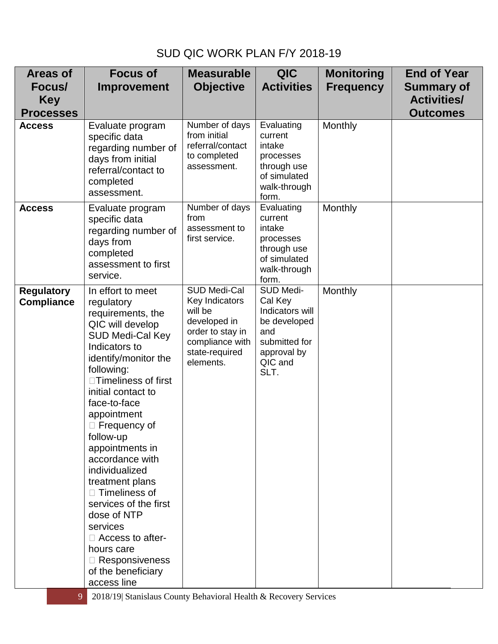#### SUD QIC WORK PLAN F/Y 2018-19

| <b>Areas of</b>                        | <b>Focus of</b>                                                                                                                                                                                                                                                                                                                                                                                                                                                                                                                      | <b>Measurable</b>                                                                                                               | <b>QIC</b>                                                                                                        | <b>Monitoring</b> | <b>End of Year</b> |
|----------------------------------------|--------------------------------------------------------------------------------------------------------------------------------------------------------------------------------------------------------------------------------------------------------------------------------------------------------------------------------------------------------------------------------------------------------------------------------------------------------------------------------------------------------------------------------------|---------------------------------------------------------------------------------------------------------------------------------|-------------------------------------------------------------------------------------------------------------------|-------------------|--------------------|
| Focus/                                 | <b>Improvement</b>                                                                                                                                                                                                                                                                                                                                                                                                                                                                                                                   | <b>Objective</b>                                                                                                                | <b>Activities</b>                                                                                                 | <b>Frequency</b>  | <b>Summary of</b>  |
| <b>Key</b>                             |                                                                                                                                                                                                                                                                                                                                                                                                                                                                                                                                      |                                                                                                                                 |                                                                                                                   |                   | <b>Activities/</b> |
| <b>Processes</b>                       |                                                                                                                                                                                                                                                                                                                                                                                                                                                                                                                                      |                                                                                                                                 |                                                                                                                   |                   | <b>Outcomes</b>    |
| <b>Access</b>                          | Evaluate program<br>specific data<br>regarding number of<br>days from initial<br>referral/contact to<br>completed<br>assessment.                                                                                                                                                                                                                                                                                                                                                                                                     | Number of days<br>from initial<br>referral/contact<br>to completed<br>assessment.                                               | Evaluating<br>current<br>intake<br>processes<br>through use<br>of simulated<br>walk-through<br>form.              | Monthly           |                    |
| <b>Access</b>                          | Evaluate program<br>specific data<br>regarding number of<br>days from<br>completed<br>assessment to first<br>service.                                                                                                                                                                                                                                                                                                                                                                                                                | Number of days<br>from<br>assessment to<br>first service.                                                                       | Evaluating<br>current<br>intake<br>processes<br>through use<br>of simulated<br>walk-through<br>form.              | Monthly           |                    |
| <b>Regulatory</b><br><b>Compliance</b> | In effort to meet<br>regulatory<br>requirements, the<br>QIC will develop<br><b>SUD Medi-Cal Key</b><br>Indicators to<br>identify/monitor the<br>following:<br>□Timeliness of first<br>initial contact to<br>face-to-face<br>appointment<br>$\Box$ Frequency of<br>follow-up<br>appointments in<br>accordance with<br>individualized<br>treatment plans<br>$\Box$ Timeliness of<br>services of the first<br>dose of NTP<br>services<br>$\Box$ Access to after-<br>hours care<br>□ Responsiveness<br>of the beneficiary<br>access line | SUD Medi-Cal<br>Key Indicators<br>will be<br>developed in<br>order to stay in<br>compliance with<br>state-required<br>elements. | SUD Medi-<br>Cal Key<br>Indicators will<br>be developed<br>and<br>submitted for<br>approval by<br>QIC and<br>SLT. | Monthly           |                    |